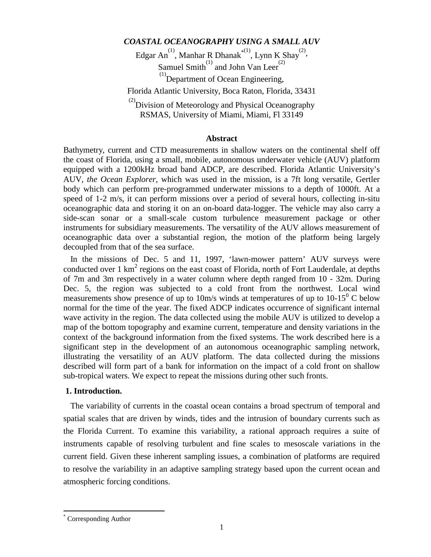# *COASTAL OCEANOGRAPHY USING A SMALL AUV*

Edgar An<sup>(1)</sup>, Manhar R Dhanak<sup>\*(1)</sup>, Lynn K Shay<sup>(2)</sup>, Samuel Smith $^{(1)}$  and John Van Leer<sup>(2)</sup>

 $\overset{(1)}{\text{Department of Ocean Engineering}}$ ,

Florida Atlantic University, Boca Raton, Florida, 33431

 $^{(2)}$ Division of Meteorology and Physical Oceanography RSMAS, University of Miami, Miami, Fl 33149

#### **Abstract**

Bathymetry, current and CTD measurements in shallow waters on the continental shelf off the coast of Florida, using a small, mobile, autonomous underwater vehicle (AUV) platform equipped with a 1200kHz broad band ADCP, are described. Florida Atlantic University's AUV, *the Ocean Explorer*, which was used in the mission, is a 7ft long versatile, Gertler body which can perform pre-programmed underwater missions to a depth of 1000ft. At a speed of 1-2 m/s, it can perform missions over a period of several hours, collecting in-situ oceanographic data and storing it on an on-board data-logger. The vehicle may also carry a side-scan sonar or a small-scale custom turbulence measurement package or other instruments for subsidiary measurements. The versatility of the AUV allows measurement of oceanographic data over a substantial region, the motion of the platform being largely decoupled from that of the sea surface.

In the missions of Dec. 5 and 11, 1997, 'lawn-mower pattern' AUV surveys were conducted over  $1 \text{ km}^2$  regions on the east coast of Florida, north of Fort Lauderdale, at depths of 7m and 3m respectively in a water column where depth ranged from 10 - 32m. During Dec. 5, the region was subjected to a cold front from the northwest. Local wind measurements show presence of up to 10m/s winds at temperatures of up to  $10{\text -}15^0$  C below normal for the time of the year. The fixed ADCP indicates occurrence of significant internal wave activity in the region. The data collected using the mobile AUV is utilized to develop a map of the bottom topography and examine current, temperature and density variations in the context of the background information from the fixed systems. The work described here is a significant step in the development of an autonomous oceanographic sampling network, illustrating the versatility of an AUV platform. The data collected during the missions described will form part of a bank for information on the impact of a cold front on shallow sub-tropical waters. We expect to repeat the missions during other such fronts.

# **1. Introduction.**

The variability of currents in the coastal ocean contains a broad spectrum of temporal and spatial scales that are driven by winds, tides and the intrusion of boundary currents such as the Florida Current. To examine this variability, a rational approach requires a suite of instruments capable of resolving turbulent and fine scales to mesoscale variations in the current field. Given these inherent sampling issues, a combination of platforms are required to resolve the variability in an adaptive sampling strategy based upon the current ocean and atmospheric forcing conditions.

 $\overline{a}$ 

<sup>\*</sup> Corresponding Author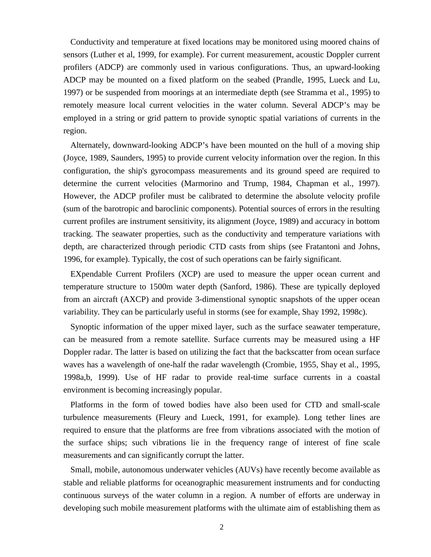Conductivity and temperature at fixed locations may be monitored using moored chains of sensors (Luther et al, 1999, for example). For current measurement, acoustic Doppler current profilers (ADCP) are commonly used in various configurations. Thus, an upward-looking ADCP may be mounted on a fixed platform on the seabed (Prandle, 1995, Lueck and Lu, 1997) or be suspended from moorings at an intermediate depth (see Stramma et al., 1995) to remotely measure local current velocities in the water column. Several ADCP's may be employed in a string or grid pattern to provide synoptic spatial variations of currents in the region.

Alternately, downward-looking ADCP's have been mounted on the hull of a moving ship (Joyce, 1989, Saunders, 1995) to provide current velocity information over the region. In this configuration, the ship's gyrocompass measurements and its ground speed are required to determine the current velocities (Marmorino and Trump, 1984, Chapman et al., 1997). However, the ADCP profiler must be calibrated to determine the absolute velocity profile (sum of the barotropic and baroclinic components). Potential sources of errors in the resulting current profiles are instrument sensitivity, its alignment (Joyce, 1989) and accuracy in bottom tracking. The seawater properties, such as the conductivity and temperature variations with depth, are characterized through periodic CTD casts from ships (see Fratantoni and Johns, 1996, for example). Typically, the cost of such operations can be fairly significant.

EXpendable Current Profilers (XCP) are used to measure the upper ocean current and temperature structure to 1500m water depth (Sanford, 1986). These are typically deployed from an aircraft (AXCP) and provide 3-dimenstional synoptic snapshots of the upper ocean variability. They can be particularly useful in storms (see for example, Shay 1992, 1998c).

Synoptic information of the upper mixed layer, such as the surface seawater temperature, can be measured from a remote satellite. Surface currents may be measured using a HF Doppler radar. The latter is based on utilizing the fact that the backscatter from ocean surface waves has a wavelength of one-half the radar wavelength (Crombie, 1955, Shay et al., 1995, 1998a,b, 1999). Use of HF radar to provide real-time surface currents in a coastal environment is becoming increasingly popular.

Platforms in the form of towed bodies have also been used for CTD and small-scale turbulence measurements (Fleury and Lueck, 1991, for example). Long tether lines are required to ensure that the platforms are free from vibrations associated with the motion of the surface ships; such vibrations lie in the frequency range of interest of fine scale measurements and can significantly corrupt the latter.

Small, mobile, autonomous underwater vehicles (AUVs) have recently become available as stable and reliable platforms for oceanographic measurement instruments and for conducting continuous surveys of the water column in a region. A number of efforts are underway in developing such mobile measurement platforms with the ultimate aim of establishing them as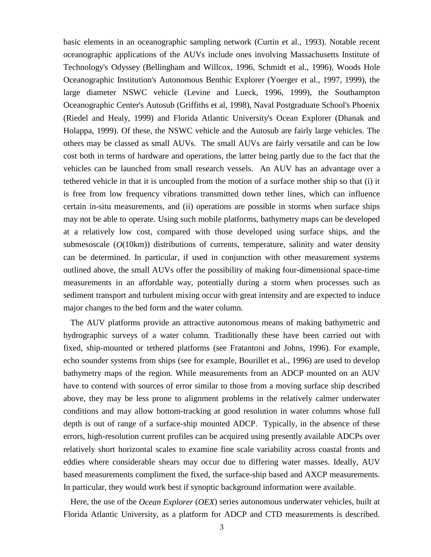basic elements in an oceanographic sampling network (Curtin et al., 1993). Notable recent oceanographic applications of the AUVs include ones involving Massachusetts Institute of Technology's Odyssey (Bellingham and Willcox, 1996, Schmidt et al., 1996), Woods Hole Oceanographic Institution's Autonomous Benthic Explorer (Yoerger et al., 1997, 1999), the large diameter NSWC vehicle (Levine and Lueck, 1996, 1999), the Southampton Oceanographic Center's Autosub (Griffiths et al, 1998), Naval Postgraduate School's Phoenix (Riedel and Healy, 1999) and Florida Atlantic University's Ocean Explorer (Dhanak and Holappa, 1999). Of these, the NSWC vehicle and the Autosub are fairly large vehicles. The others may be classed as small AUVs. The small AUVs are fairly versatile and can be low cost both in terms of hardware and operations, the latter being partly due to the fact that the vehicles can be launched from small research vessels. An AUV has an advantage over a tethered vehicle in that it is uncoupled from the motion of a surface mother ship so that (i) it is free from low frequency vibrations transmitted down tether lines, which can influence certain in-situ measurements, and (ii) operations are possible in storms when surface ships may not be able to operate. Using such mobile platforms, bathymetry maps can be developed at a relatively low cost, compared with those developed using surface ships, and the submesoscale (*O*(10km)) distributions of currents, temperature, salinity and water density can be determined. In particular, if used in conjunction with other measurement systems outlined above, the small AUVs offer the possibility of making four-dimensional space-time measurements in an affordable way, potentially during a storm when processes such as sediment transport and turbulent mixing occur with great intensity and are expected to induce major changes to the bed form and the water column.

The AUV platforms provide an attractive autonomous means of making bathymetric and hydrographic surveys of a water column. Traditionally these have been carried out with fixed, ship-mounted or tethered platforms (see Fratantoni and Johns, 1996). For example, echo sounder systems from ships (see for example, Bourillet et al., 1996) are used to develop bathymetry maps of the region. While measurements from an ADCP mounted on an AUV have to contend with sources of error similar to those from a moving surface ship described above, they may be less prone to alignment problems in the relatively calmer underwater conditions and may allow bottom-tracking at good resolution in water columns whose full depth is out of range of a surface-ship mounted ADCP. Typically, in the absence of these errors, high-resolution current profiles can be acquired using presently available ADCPs over relatively short horizontal scales to examine fine scale variability across coastal fronts and eddies where considerable shears may occur due to differing water masses. Ideally, AUV based measurements compliment the fixed, the surface-ship based and AXCP measurements. In particular, they would work best if synoptic background information were available.

Here, the use of the *Ocean Explorer* (*OEX*) series autonomous underwater vehicles, built at Florida Atlantic University, as a platform for ADCP and CTD measurements is described.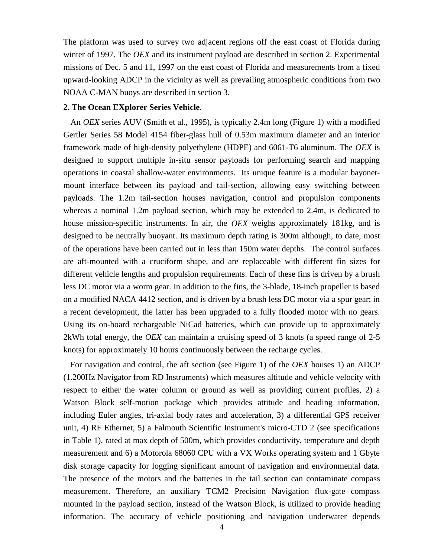The platform was used to survey two adjacent regions off the east coast of Florida during winter of 1997. The *OEX* and its instrument payload are described in section 2. Experimental missions of Dec. 5 and 11, 1997 on the east coast of Florida and measurements from a fixed upward-looking ADCP in the vicinity as well as prevailing atmospheric conditions from two NOAA C-MAN buoys are described in section 3.

#### **2. The Ocean EXplorer Series Vehicle**.

An *OEX* series AUV (Smith et al., 1995), is typically 2.4m long (Figure 1) with a modified Gertler Series 58 Model 4154 fiber-glass hull of 0.53m maximum diameter and an interior framework made of high-density polyethylene (HDPE) and 6061-T6 aluminum. The *OEX* is designed to support multiple in-situ sensor payloads for performing search and mapping operations in coastal shallow-water environments. Its unique feature is a modular bayonetmount interface between its payload and tail-section, allowing easy switching between payloads. The 1.2m tail-section houses navigation, control and propulsion components whereas a nominal 1.2m payload section, which may be extended to 2.4m, is dedicated to house mission-specific instruments. In air, the *OEX* weighs approximately 181kg, and is designed to be neutrally buoyant. Its maximum depth rating is 300m although, to date, most of the operations have been carried out in less than 150m water depths. The control surfaces are aft-mounted with a cruciform shape, and are replaceable with different fin sizes for different vehicle lengths and propulsion requirements. Each of these fins is driven by a brush less DC motor via a worm gear. In addition to the fins, the 3-blade, 18-inch propeller is based on a modified NACA 4412 section, and is driven by a brush less DC motor via a spur gear; in a recent development, the latter has been upgraded to a fully flooded motor with no gears. Using its on-board rechargeable NiCad batteries, which can provide up to approximately 2kWh total energy, the *OEX* can maintain a cruising speed of 3 knots (a speed range of 2-5 knots) for approximately 10 hours continuously between the recharge cycles.

For navigation and control, the aft section (see Figure 1) of the *OEX* houses 1) an ADCP (1.200Hz Navigator from RD Instruments) which measures altitude and vehicle velocity with respect to either the water column or ground as well as providing current profiles, 2) a Watson Block self-motion package which provides attitude and heading information, including Euler angles, tri-axial body rates and acceleration, 3) a differential GPS receiver unit, 4) RF Ethernet, 5) a Falmouth Scientific Instrument's micro-CTD 2 (see specifications in Table 1), rated at max depth of 500m, which provides conductivity, temperature and depth measurement and 6) a Motorola 68060 CPU with a VX Works operating system and 1 Gbyte disk storage capacity for logging significant amount of navigation and environmental data. The presence of the motors and the batteries in the tail section can contaminate compass measurement. Therefore, an auxiliary TCM2 Precision Navigation flux-gate compass mounted in the payload section, instead of the Watson Block, is utilized to provide heading information. The accuracy of vehicle positioning and navigation underwater depends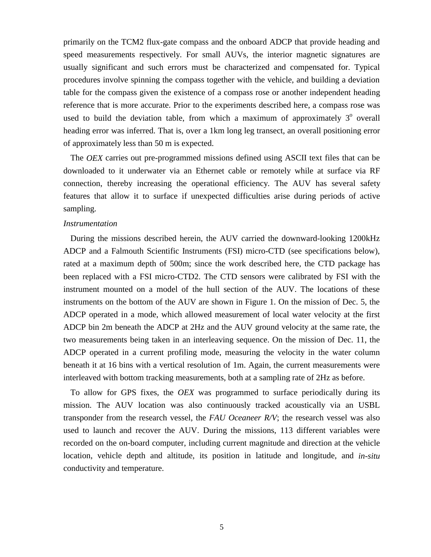primarily on the TCM2 flux-gate compass and the onboard ADCP that provide heading and speed measurements respectively. For small AUVs, the interior magnetic signatures are usually significant and such errors must be characterized and compensated for. Typical procedures involve spinning the compass together with the vehicle, and building a deviation table for the compass given the existence of a compass rose or another independent heading reference that is more accurate. Prior to the experiments described here, a compass rose was used to build the deviation table, from which a maximum of approximately  $3^{\circ}$  overall heading error was inferred. That is, over a 1km long leg transect, an overall positioning error of approximately less than 50 m is expected.

The *OEX* carries out pre-programmed missions defined using ASCII text files that can be downloaded to it underwater via an Ethernet cable or remotely while at surface via RF connection, thereby increasing the operational efficiency. The AUV has several safety features that allow it to surface if unexpected difficulties arise during periods of active sampling.

#### *Instrumentation*

During the missions described herein, the AUV carried the downward-looking 1200kHz ADCP and a Falmouth Scientific Instruments (FSI) micro-CTD (see specifications below), rated at a maximum depth of 500m; since the work described here, the CTD package has been replaced with a FSI micro-CTD2. The CTD sensors were calibrated by FSI with the instrument mounted on a model of the hull section of the AUV. The locations of these instruments on the bottom of the AUV are shown in Figure 1. On the mission of Dec. 5, the ADCP operated in a mode, which allowed measurement of local water velocity at the first ADCP bin 2m beneath the ADCP at 2Hz and the AUV ground velocity at the same rate, the two measurements being taken in an interleaving sequence. On the mission of Dec. 11, the ADCP operated in a current profiling mode, measuring the velocity in the water column beneath it at 16 bins with a vertical resolution of 1m. Again, the current measurements were interleaved with bottom tracking measurements, both at a sampling rate of 2Hz as before.

To allow for GPS fixes, the *OEX* was programmed to surface periodically during its mission. The AUV location was also continuously tracked acoustically via an USBL transponder from the research vessel, the *FAU Oceaneer R/V*; the research vessel was also used to launch and recover the AUV. During the missions, 113 different variables were recorded on the on-board computer, including current magnitude and direction at the vehicle location, vehicle depth and altitude, its position in latitude and longitude, and *in-situ* conductivity and temperature.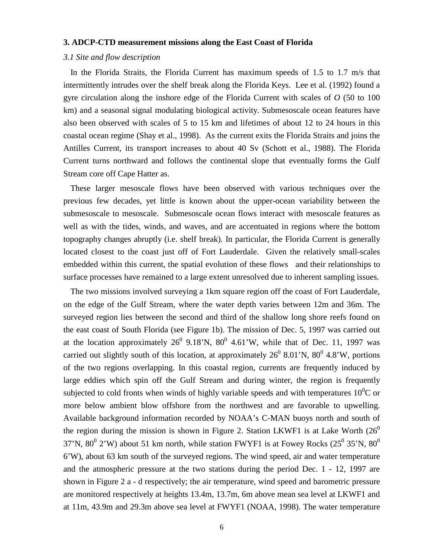#### **3. ADCP-CTD measurement missions along the East Coast of Florida**

### *3.1 Site and flow description*

In the Florida Straits, the Florida Current has maximum speeds of 1.5 to 1.7 m/s that intermittently intrudes over the shelf break along the Florida Keys. Lee et al. (1992) found a gyre circulation along the inshore edge of the Florida Current with scales of *O* (50 to 100 km) and a seasonal signal modulating biological activity. Submesoscale ocean features have also been observed with scales of 5 to 15 km and lifetimes of about 12 to 24 hours in this coastal ocean regime (Shay et al., 1998). As the current exits the Florida Straits and joins the Antilles Current, its transport increases to about 40 Sv (Schott et al., 1988). The Florida Current turns northward and follows the continental slope that eventually forms the Gulf Stream core off Cape Hatter as.

These larger mesoscale flows have been observed with various techniques over the previous few decades, yet little is known about the upper-ocean variability between the submesoscale to mesoscale. Submesoscale ocean flows interact with mesoscale features as well as with the tides, winds, and waves, and are accentuated in regions where the bottom topography changes abruptly (i.e. shelf break). In particular, the Florida Current is generally located closest to the coast just off of Fort Lauderdale. Given the relatively small-scales embedded within this current, the spatial evolution of these flows and their relationships to surface processes have remained to a large extent unresolved due to inherent sampling issues.

The two missions involved surveying a 1km square region off the coast of Fort Lauderdale, on the edge of the Gulf Stream, where the water depth varies between 12m and 36m. The surveyed region lies between the second and third of the shallow long shore reefs found on the east coast of South Florida (see Figure 1b). The mission of Dec. 5, 1997 was carried out at the location approximately  $26^{\circ}$  9.18'N,  $80^{\circ}$  4.61'W, while that of Dec. 11, 1997 was carried out slightly south of this location, at approximately  $26^{\circ}$  8.01'N,  $80^{\circ}$  4.8'W, portions of the two regions overlapping. In this coastal region, currents are frequently induced by large eddies which spin off the Gulf Stream and during winter, the region is frequently subjected to cold fronts when winds of highly variable speeds and with temperatures  $10^{0}$ C or more below ambient blow offshore from the northwest and are favorable to upwelling. Available background information recorded by NOAA's C-MAN buoys north and south of the region during the mission is shown in Figure 2. Station LKWF1 is at Lake Worth  $(26^0)$ 37'N, 80<sup>0</sup> 2'W) about 51 km north, while station FWYF1 is at Fowey Rocks (25<sup>0</sup> 35'N, 80<sup>0</sup> 6'W), about 63 km south of the surveyed regions. The wind speed, air and water temperature and the atmospheric pressure at the two stations during the period Dec. 1 - 12, 1997 are shown in Figure 2 a - d respectively; the air temperature, wind speed and barometric pressure are monitored respectively at heights 13.4m, 13.7m, 6m above mean sea level at LKWF1 and at 11m, 43.9m and 29.3m above sea level at FWYF1 (NOAA, 1998). The water temperature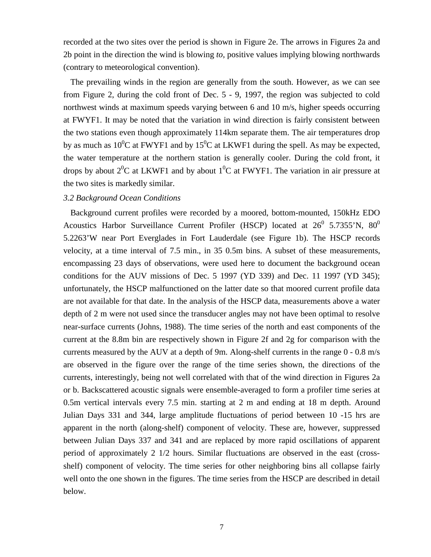recorded at the two sites over the period is shown in Figure 2e. The arrows in Figures 2a and 2b point in the direction the wind is blowing *to,* positive values implying blowing northwards (contrary to meteorological convention).

The prevailing winds in the region are generally from the south. However, as we can see from Figure 2, during the cold front of Dec. 5 - 9, 1997, the region was subjected to cold northwest winds at maximum speeds varying between 6 and 10 m/s, higher speeds occurring at FWYF1. It may be noted that the variation in wind direction is fairly consistent between the two stations even though approximately 114km separate them. The air temperatures drop by as much as 10<sup>0</sup>C at FWYF1 and by 15<sup>0</sup>C at LKWF1 during the spell. As may be expected, the water temperature at the northern station is generally cooler. During the cold front, it drops by about  $2^{0}C$  at LKWF1 and by about  $1^{0}C$  at FWYF1. The variation in air pressure at the two sites is markedly similar.

## *3.2 Background Ocean Conditions*

Background current profiles were recorded by a moored, bottom-mounted, 150kHz EDO Acoustics Harbor Surveillance Current Profiler (HSCP) located at  $26^{\circ}$  5.7355'N,  $80^{\circ}$ 5.2263'W near Port Everglades in Fort Lauderdale (see Figure 1b). The HSCP records velocity, at a time interval of 7.5 min., in 35 0.5m bins. A subset of these measurements, encompassing 23 days of observations, were used here to document the background ocean conditions for the AUV missions of Dec. 5 1997 (YD 339) and Dec. 11 1997 (YD 345); unfortunately, the HSCP malfunctioned on the latter date so that moored current profile data are not available for that date. In the analysis of the HSCP data, measurements above a water depth of 2 m were not used since the transducer angles may not have been optimal to resolve near-surface currents (Johns, 1988). The time series of the north and east components of the current at the 8.8m bin are respectively shown in Figure 2f and 2g for comparison with the currents measured by the AUV at a depth of 9m. Along-shelf currents in the range 0 - 0.8 m/s are observed in the figure over the range of the time series shown, the directions of the currents, interestingly, being not well correlated with that of the wind direction in Figures 2a or b. Backscattered acoustic signals were ensemble-averaged to form a profiler time series at 0.5m vertical intervals every 7.5 min. starting at 2 m and ending at 18 m depth. Around Julian Days 331 and 344, large amplitude fluctuations of period between 10 -15 hrs are apparent in the north (along-shelf) component of velocity. These are, however, suppressed between Julian Days 337 and 341 and are replaced by more rapid oscillations of apparent period of approximately 2 1/2 hours. Similar fluctuations are observed in the east (crossshelf) component of velocity. The time series for other neighboring bins all collapse fairly well onto the one shown in the figures. The time series from the HSCP are described in detail below.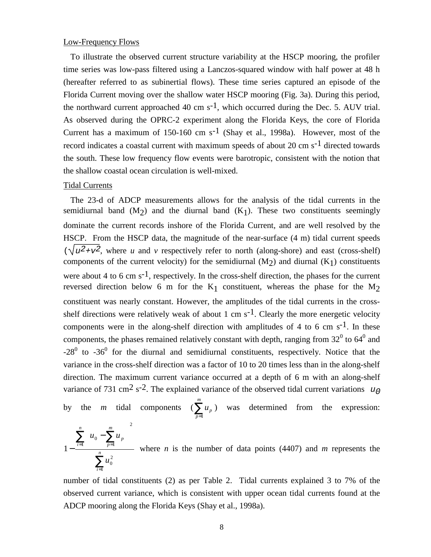### Low-Frequency Flows

To illustrate the observed current structure variability at the HSCP mooring, the profiler time series was low-pass filtered using a Lanczos-squared window with half power at 48 h (hereafter referred to as subinertial flows). These time series captured an episode of the Florida Current moving over the shallow water HSCP mooring (Fig. 3a). During this period, the northward current approached 40 cm  $s^{-1}$ , which occurred during the Dec. 5. AUV trial. As observed during the OPRC-2 experiment along the Florida Keys, the core of Florida Current has a maximum of 150-160 cm  $s^{-1}$  (Shay et al., 1998a). However, most of the record indicates a coastal current with maximum speeds of about 20 cm  $s^{-1}$  directed towards the south. These low frequency flow events were barotropic, consistent with the notion that the shallow coastal ocean circulation is well-mixed.

### Tidal Currents

The 23-d of ADCP measurements allows for the analysis of the tidal currents in the semidiurnal band  $(M<sub>2</sub>)$  and the diurnal band  $(K<sub>1</sub>)$ . These two constituents seemingly dominate the current records inshore of the Florida Current, and are well resolved by the HSCP. From the HSCP data, the magnitude of the near-surface (4 m) tidal current speeds  $(\sqrt{u^2+v^2})$ , where *u* and *v* respectively refer to north (along-shore) and east (cross-shelf) components of the current velocity) for the semidiurnal  $(M<sub>2</sub>)$  and diurnal  $(K<sub>1</sub>)$  constituents were about 4 to 6 cm  $s^{-1}$ , respectively. In the cross-shelf direction, the phases for the current reversed direction below 6 m for the  $K_1$  constituent, whereas the phase for the  $M_2$ constituent was nearly constant. However, the amplitudes of the tidal currents in the crossshelf directions were relatively weak of about 1 cm  $s^{-1}$ . Clearly the more energetic velocity components were in the along-shelf direction with amplitudes of 4 to 6 cm  $s^{-1}$ . In these components, the phases remained relatively constant with depth, ranging from  $32^0$  to  $64^0$  and  $-28^0$  to  $-36^0$  for the diurnal and semidiurnal constituents, respectively. Notice that the variance in the cross-shelf direction was a factor of 10 to 20 times less than in the along-shelf direction. The maximum current variance occurred at a depth of 6 m with an along-shelf variance of 731 cm<sup>2</sup> s<sup>-2</sup>. The explained variance of the observed tidal current variations  $u_0$ 

by the *m* tidal components ( $\sum_{p=1}^{m}$ *p p u* 1 ) was determined from the expression:

$$
1 - \frac{\sum_{i=1}^{n} \left\{ u_0 - \sum_{p=1}^{m} u_p \right\}^2}{\sum_{i=1}^{n} u_0^2}
$$
 where *n* is the number of data points (4407) and *m* represents the

number of tidal constituents (2) as per Table 2. Tidal currents explained 3 to 7% of the observed current variance, which is consistent with upper ocean tidal currents found at the ADCP mooring along the Florida Keys (Shay et al., 1998a).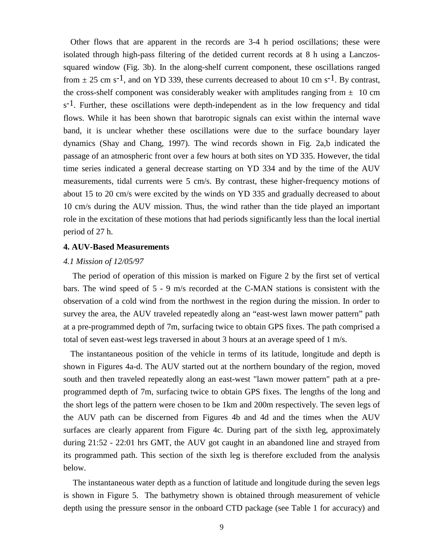Other flows that are apparent in the records are 3-4 h period oscillations; these were isolated through high-pass filtering of the detided current records at 8 h using a Lanczossquared window (Fig. 3b). In the along-shelf current component, these oscillations ranged from  $\pm$  25 cm s<sup>-1</sup>, and on YD 339, these currents decreased to about 10 cm s<sup>-1</sup>. By contrast, the cross-shelf component was considerably weaker with amplitudes ranging from  $\pm$  10 cm  $s^{-1}$ . Further, these oscillations were depth-independent as in the low frequency and tidal flows. While it has been shown that barotropic signals can exist within the internal wave band, it is unclear whether these oscillations were due to the surface boundary layer dynamics (Shay and Chang, 1997). The wind records shown in Fig. 2a,b indicated the passage of an atmospheric front over a few hours at both sites on YD 335. However, the tidal time series indicated a general decrease starting on YD 334 and by the time of the AUV measurements, tidal currents were 5 cm/s. By contrast, these higher-frequency motions of about 15 to 20 cm/s were excited by the winds on YD 335 and gradually decreased to about 10 cm/s during the AUV mission. Thus, the wind rather than the tide played an important role in the excitation of these motions that had periods significantly less than the local inertial period of 27 h.

#### **4. AUV-Based Measurements**

#### *4.1 Mission of 12/05/97*

 The period of operation of this mission is marked on Figure 2 by the first set of vertical bars. The wind speed of 5 - 9 m/s recorded at the C-MAN stations is consistent with the observation of a cold wind from the northwest in the region during the mission. In order to survey the area, the AUV traveled repeatedly along an "east-west lawn mower pattern" path at a pre-programmed depth of 7m, surfacing twice to obtain GPS fixes. The path comprised a total of seven east-west legs traversed in about 3 hours at an average speed of 1 m/s.

The instantaneous position of the vehicle in terms of its latitude, longitude and depth is shown in Figures 4a-d. The AUV started out at the northern boundary of the region, moved south and then traveled repeatedly along an east-west "lawn mower pattern" path at a preprogrammed depth of 7m, surfacing twice to obtain GPS fixes. The lengths of the long and the short legs of the pattern were chosen to be 1km and 200m respectively. The seven legs of the AUV path can be discerned from Figures 4b and 4d and the times when the AUV surfaces are clearly apparent from Figure 4c. During part of the sixth leg, approximately during 21:52 - 22:01 hrs GMT, the AUV got caught in an abandoned line and strayed from its programmed path. This section of the sixth leg is therefore excluded from the analysis below.

 The instantaneous water depth as a function of latitude and longitude during the seven legs is shown in Figure 5. The bathymetry shown is obtained through measurement of vehicle depth using the pressure sensor in the onboard CTD package (see Table 1 for accuracy) and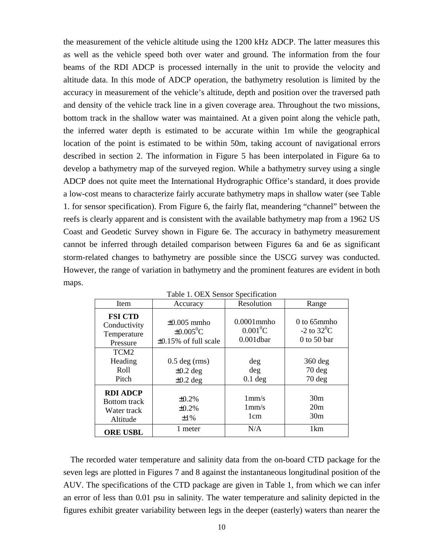the measurement of the vehicle altitude using the 1200 kHz ADCP. The latter measures this as well as the vehicle speed both over water and ground. The information from the four beams of the RDI ADCP is processed internally in the unit to provide the velocity and altitude data. In this mode of ADCP operation, the bathymetry resolution is limited by the accuracy in measurement of the vehicle's altitude, depth and position over the traversed path and density of the vehicle track line in a given coverage area. Throughout the two missions, bottom track in the shallow water was maintained. At a given point along the vehicle path, the inferred water depth is estimated to be accurate within 1m while the geographical location of the point is estimated to be within 50m, taking account of navigational errors described in section 2. The information in Figure 5 has been interpolated in Figure 6a to develop a bathymetry map of the surveyed region. While a bathymetry survey using a single ADCP does not quite meet the International Hydrographic Office's standard, it does provide a low-cost means to characterize fairly accurate bathymetry maps in shallow water (see Table 1. for sensor specification). From Figure 6, the fairly flat, meandering "channel" between the reefs is clearly apparent and is consistent with the available bathymetry map from a 1962 US Coast and Geodetic Survey shown in Figure 6e. The accuracy in bathymetry measurement cannot be inferred through detailed comparison between Figures 6a and 6e as significant storm-related changes to bathymetry are possible since the USCG survey was conducted. However, the range of variation in bathymetry and the prominent features are evident in both maps.

| Item                                                              | Accuracy                                                                     | Resolution                                  | Range                                            |  |  |  |
|-------------------------------------------------------------------|------------------------------------------------------------------------------|---------------------------------------------|--------------------------------------------------|--|--|--|
| <b>FSI CTD</b><br>Conductivity<br>Temperature<br>Pressure         | $\pm 0.005$ mmho<br>$\pm 0.005$ <sup>o</sup> C<br>$\pm 0.15\%$ of full scale | $0.0001$ mmho<br>$0.001^0C$<br>$0.001$ dbar | $0$ to 65mmho<br>-2 to $32^0$ C<br>$0$ to 50 bar |  |  |  |
| TCM <sub>2</sub><br>Heading<br>Roll<br>Pitch                      | $0.5$ deg (rms)<br>$\pm 0.2$ deg<br>$\pm 0.2$ deg                            | deg<br>$\deg$<br>$0.1$ deg                  | $360$ deg<br>$70$ deg<br>$70$ deg                |  |  |  |
| <b>RDI ADCP</b><br><b>Bottom</b> track<br>Water track<br>Altitude | $\pm 0.2\%$<br>$\pm 0.2\%$<br>$\pm 1\%$                                      | 1mm/s<br>1mm/s<br>1 <sub>cm</sub>           | 30 <sub>m</sub><br>20m<br>30 <sub>m</sub>        |  |  |  |
| <b>ORE USBL</b>                                                   | 1 meter                                                                      | N/A                                         | 1 <sub>km</sub>                                  |  |  |  |

The recorded water temperature and salinity data from the on-board CTD package for the seven legs are plotted in Figures 7 and 8 against the instantaneous longitudinal position of the AUV. The specifications of the CTD package are given in Table 1, from which we can infer an error of less than 0.01 psu in salinity. The water temperature and salinity depicted in the figures exhibit greater variability between legs in the deeper (easterly) waters than nearer the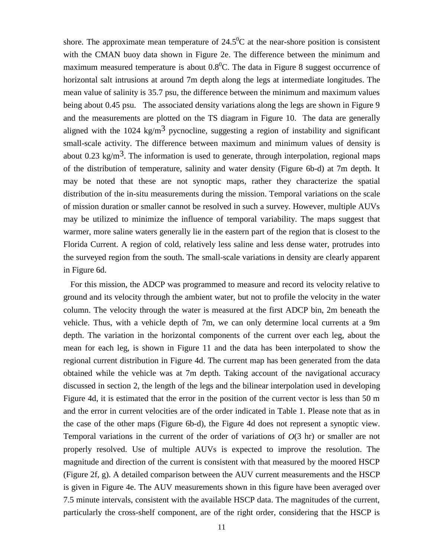shore. The approximate mean temperature of  $24.5^{\circ}$ C at the near-shore position is consistent with the CMAN buoy data shown in Figure 2e. The difference between the minimum and maximum measured temperature is about  $0.8^{\circ}$ C. The data in Figure 8 suggest occurrence of horizontal salt intrusions at around 7m depth along the legs at intermediate longitudes. The mean value of salinity is 35.7 psu, the difference between the minimum and maximum values being about 0.45 psu. The associated density variations along the legs are shown in Figure 9 and the measurements are plotted on the TS diagram in Figure 10. The data are generally aligned with the 1024 kg/m<sup>3</sup> pycnocline, suggesting a region of instability and significant small-scale activity. The difference between maximum and minimum values of density is about 0.23 kg/m<sup>3</sup>. The information is used to generate, through interpolation, regional maps of the distribution of temperature, salinity and water density (Figure 6b-d) at 7m depth. It may be noted that these are not synoptic maps, rather they characterize the spatial distribution of the in-situ measurements during the mission. Temporal variations on the scale of mission duration or smaller cannot be resolved in such a survey. However, multiple AUVs may be utilized to minimize the influence of temporal variability. The maps suggest that warmer, more saline waters generally lie in the eastern part of the region that is closest to the Florida Current. A region of cold, relatively less saline and less dense water, protrudes into the surveyed region from the south. The small-scale variations in density are clearly apparent in Figure 6d.

For this mission, the ADCP was programmed to measure and record its velocity relative to ground and its velocity through the ambient water, but not to profile the velocity in the water column. The velocity through the water is measured at the first ADCP bin, 2m beneath the vehicle. Thus, with a vehicle depth of 7m, we can only determine local currents at a 9m depth. The variation in the horizontal components of the current over each leg, about the mean for each leg, is shown in Figure 11 and the data has been interpolated to show the regional current distribution in Figure 4d. The current map has been generated from the data obtained while the vehicle was at 7m depth. Taking account of the navigational accuracy discussed in section 2, the length of the legs and the bilinear interpolation used in developing Figure 4d, it is estimated that the error in the position of the current vector is less than 50 m and the error in current velocities are of the order indicated in Table 1. Please note that as in the case of the other maps (Figure 6b-d), the Figure 4d does not represent a synoptic view. Temporal variations in the current of the order of variations of *O*(3 hr) or smaller are not properly resolved. Use of multiple AUVs is expected to improve the resolution. The magnitude and direction of the current is consistent with that measured by the moored HSCP (Figure 2f, g). A detailed comparison between the AUV current measurements and the HSCP is given in Figure 4e. The AUV measurements shown in this figure have been averaged over 7.5 minute intervals, consistent with the available HSCP data. The magnitudes of the current, particularly the cross-shelf component, are of the right order, considering that the HSCP is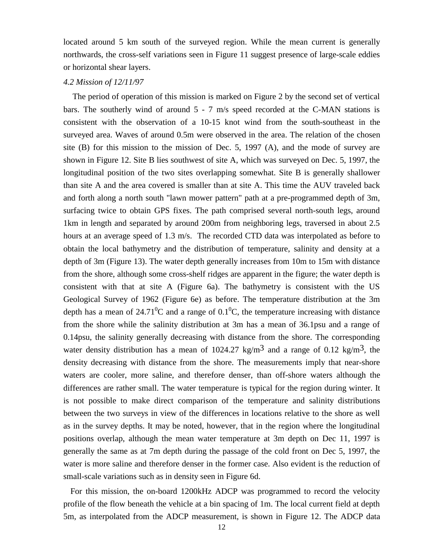located around 5 km south of the surveyed region. While the mean current is generally northwards, the cross-self variations seen in Figure 11 suggest presence of large-scale eddies or horizontal shear layers.

### *4.2 Mission of 12/11/97*

 The period of operation of this mission is marked on Figure 2 by the second set of vertical bars. The southerly wind of around 5 - 7 m/s speed recorded at the C-MAN stations is consistent with the observation of a 10-15 knot wind from the south-southeast in the surveyed area. Waves of around 0.5m were observed in the area. The relation of the chosen site (B) for this mission to the mission of Dec. 5, 1997 (A), and the mode of survey are shown in Figure 12. Site B lies southwest of site A, which was surveyed on Dec. 5, 1997, the longitudinal position of the two sites overlapping somewhat. Site B is generally shallower than site A and the area covered is smaller than at site A. This time the AUV traveled back and forth along a north south "lawn mower pattern" path at a pre-programmed depth of 3m, surfacing twice to obtain GPS fixes. The path comprised several north-south legs, around 1km in length and separated by around 200m from neighboring legs, traversed in about 2.5 hours at an average speed of 1.3 m/s. The recorded CTD data was interpolated as before to obtain the local bathymetry and the distribution of temperature, salinity and density at a depth of 3m (Figure 13). The water depth generally increases from 10m to 15m with distance from the shore, although some cross-shelf ridges are apparent in the figure; the water depth is consistent with that at site A (Figure 6a). The bathymetry is consistent with the US Geological Survey of 1962 (Figure 6e) as before. The temperature distribution at the 3m depth has a mean of 24.71<sup>0</sup>C and a range of  $0.1^{\circ}$ C, the temperature increasing with distance from the shore while the salinity distribution at 3m has a mean of 36.1psu and a range of 0.14psu, the salinity generally decreasing with distance from the shore. The corresponding water density distribution has a mean of 1024.27 kg/m<sup>3</sup> and a range of 0.12 kg/m<sup>3</sup>, the density decreasing with distance from the shore. The measurements imply that near-shore waters are cooler, more saline, and therefore denser, than off-shore waters although the differences are rather small. The water temperature is typical for the region during winter. It is not possible to make direct comparison of the temperature and salinity distributions between the two surveys in view of the differences in locations relative to the shore as well as in the survey depths. It may be noted, however, that in the region where the longitudinal positions overlap, although the mean water temperature at 3m depth on Dec 11, 1997 is generally the same as at 7m depth during the passage of the cold front on Dec 5, 1997, the water is more saline and therefore denser in the former case. Also evident is the reduction of small-scale variations such as in density seen in Figure 6d.

For this mission, the on-board 1200kHz ADCP was programmed to record the velocity profile of the flow beneath the vehicle at a bin spacing of 1m. The local current field at depth 5m, as interpolated from the ADCP measurement, is shown in Figure 12. The ADCP data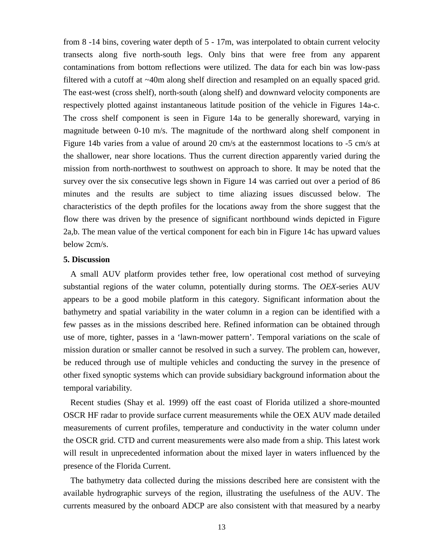from 8 -14 bins, covering water depth of 5 - 17m, was interpolated to obtain current velocity transects along five north-south legs. Only bins that were free from any apparent contaminations from bottom reflections were utilized. The data for each bin was low-pass filtered with a cutoff at ~40m along shelf direction and resampled on an equally spaced grid. The east-west (cross shelf), north-south (along shelf) and downward velocity components are respectively plotted against instantaneous latitude position of the vehicle in Figures 14a-c. The cross shelf component is seen in Figure 14a to be generally shoreward, varying in magnitude between 0-10 m/s. The magnitude of the northward along shelf component in Figure 14b varies from a value of around 20 cm/s at the easternmost locations to -5 cm/s at the shallower, near shore locations. Thus the current direction apparently varied during the mission from north-northwest to southwest on approach to shore. It may be noted that the survey over the six consecutive legs shown in Figure 14 was carried out over a period of 86 minutes and the results are subject to time aliazing issues discussed below. The characteristics of the depth profiles for the locations away from the shore suggest that the flow there was driven by the presence of significant northbound winds depicted in Figure 2a,b. The mean value of the vertical component for each bin in Figure 14c has upward values below 2cm/s.

## **5. Discussion**

A small AUV platform provides tether free, low operational cost method of surveying substantial regions of the water column, potentially during storms. The *OEX*-series AUV appears to be a good mobile platform in this category. Significant information about the bathymetry and spatial variability in the water column in a region can be identified with a few passes as in the missions described here. Refined information can be obtained through use of more, tighter, passes in a 'lawn-mower pattern'. Temporal variations on the scale of mission duration or smaller cannot be resolved in such a survey. The problem can, however, be reduced through use of multiple vehicles and conducting the survey in the presence of other fixed synoptic systems which can provide subsidiary background information about the temporal variability.

Recent studies (Shay et al. 1999) off the east coast of Florida utilized a shore-mounted OSCR HF radar to provide surface current measurements while the OEX AUV made detailed measurements of current profiles, temperature and conductivity in the water column under the OSCR grid. CTD and current measurements were also made from a ship. This latest work will result in unprecedented information about the mixed layer in waters influenced by the presence of the Florida Current.

The bathymetry data collected during the missions described here are consistent with the available hydrographic surveys of the region, illustrating the usefulness of the AUV. The currents measured by the onboard ADCP are also consistent with that measured by a nearby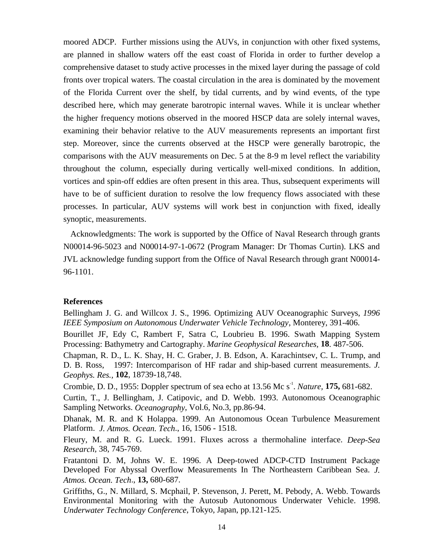moored ADCP. Further missions using the AUVs, in conjunction with other fixed systems, are planned in shallow waters off the east coast of Florida in order to further develop a comprehensive dataset to study active processes in the mixed layer during the passage of cold fronts over tropical waters. The coastal circulation in the area is dominated by the movement of the Florida Current over the shelf, by tidal currents, and by wind events, of the type described here, which may generate barotropic internal waves. While it is unclear whether the higher frequency motions observed in the moored HSCP data are solely internal waves, examining their behavior relative to the AUV measurements represents an important first step. Moreover, since the currents observed at the HSCP were generally barotropic, the comparisons with the AUV measurements on Dec. 5 at the 8-9 m level reflect the variability throughout the column, especially during vertically well-mixed conditions. In addition, vortices and spin-off eddies are often present in this area. Thus, subsequent experiments will have to be of sufficient duration to resolve the low frequency flows associated with these processes. In particular, AUV systems will work best in conjunction with fixed, ideally synoptic, measurements.

Acknowledgments: The work is supported by the Office of Naval Research through grants N00014-96-5023 and N00014-97-1-0672 (Program Manager: Dr Thomas Curtin). LKS and JVL acknowledge funding support from the Office of Naval Research through grant N00014- 96-1101.

### **References**

Bellingham J. G. and Willcox J. S., 1996. Optimizing AUV Oceanographic Surveys, *1996 IEEE Symposium on Autonomous Underwater Vehicle Technology*, Monterey, 391-406. Bourillet JF, Edy C, Rambert F, Satra C, Loubrieu B. 1996. Swath Mapping System Processing: Bathymetry and Cartography. *Marine Geophysical Researches,* **18**. 487-506.

Chapman, R. D., L. K. Shay, H. C. Graber, J. B. Edson, A. Karachintsev, C. L. Trump, and D. B. Ross, 1997: Intercomparison of HF radar and ship-based current measurements. *J. Geophys. Res.,* **102**, 18739-18,748.

Crombie, D. D., 1955: Doppler spectrum of sea echo at 13.56 Mc s-1 . *Nature,* **175,** 681-682.

Curtin, T., J. Bellingham, J. Catipovic, and D. Webb. 1993. Autonomous Oceanographic Sampling Networks. *Oceanography*, Vol.6, No.3, pp.86-94.

Dhanak, M. R. and K Holappa. 1999. An Autonomous Ocean Turbulence Measurement Platform. *J. Atmos. Ocean. Tech*., 16, 1506 - 1518.

Fleury, M. and R. G. Lueck. 1991. Fluxes across a thermohaline interface. *Deep-Sea Research*, 38, 745-769.

Fratantoni D. M, Johns W. E. 1996. A Deep-towed ADCP-CTD Instrument Package Developed For Abyssal Overflow Measurements In The Northeastern Caribbean Sea. *J. Atmos. Ocean. Tech*., **13,** 680-687.

Griffiths, G., N. Millard, S. Mcphail, P. Stevenson, J. Perett, M. Pebody, A. Webb. Towards Environmental Monitoring with the Autosub Autonomous Underwater Vehicle. 1998. *Underwater Technology Conference*, Tokyo, Japan, pp.121-125.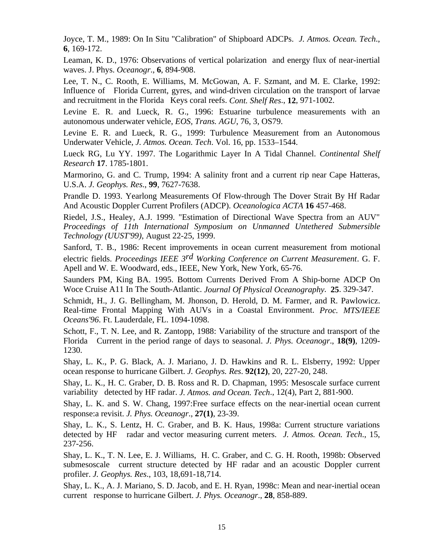Joyce, T. M., 1989: On In Situ "Calibration" of Shipboard ADCPs. *J. Atmos. Ocean. Tech*., **6**, 169-172.

Leaman, K. D., 1976: Observations of vertical polarization and energy flux of near-inertial waves. J. Phys. *Oceanogr*., **6**, 894-908.

Lee, T. N., C. Rooth, E. Williams, M. McGowan, A. F. Szmant, and M. E. Clarke, 1992: Influence of Florida Current, gyres, and wind-driven circulation on the transport of larvae and recruitment in the Florida Keys coral reefs. *Cont. Shelf Res*., **12**, 971-1002.

Levine E. R. and Lueck, R. G., 1996: Estuarine turbulence measurements with an autonomous underwater vehicle, *EOS, Trans. AGU*, 76, 3, OS79.

Levine E. R. and Lueck, R. G., 1999: Turbulence Measurement from an Autonomous Underwater Vehicle, *J. Atmos. Ocean. Tech*. Vol. 16, pp. 1533–1544.

Lueck RG, Lu YY. 1997. The Logarithmic Layer In A Tidal Channel. *Continental Shelf Research* **17**. 1785-1801.

Marmorino, G. and C. Trump, 1994: A salinity front and a current rip near Cape Hatteras, U.S.A. *J. Geophys. Res*., **99**, 7627-7638.

Prandle D. 1993. Yearlong Measurements Of Flow-through The Dover Strait By Hf Radar And Acoustic Doppler Current Profilers (ADCP). *Oceanologica ACTA* **16** 457-468.

Riedel, J.S., Healey, A.J. 1999. "Estimation of Directional Wave Spectra from an AUV" *Proceedings of 11th International Symposium on Unmanned Untethered Submersible Technology (UUST'99)*, August 22-25, 1999.

Sanford, T. B., 1986: Recent improvements in ocean current measurement from motional electric fields. *Proceedings IEEE 3rd Working Conference on Current Measurement*. G. F. Apell and W. E. Woodward, eds., IEEE, New York, New York, 65-76.

Saunders PM, King BA. 1995. Bottom Currents Derived From A Ship-borne ADCP On Woce Cruise A11 In The South-Atlantic. *Journal Of Physical Oceanography*. **25**. 329-347.

Schmidt, H., J. G. Bellingham, M. Jhonson, D. Herold, D. M. Farmer, and R. Pawlowicz. Real-time Frontal Mapping With AUVs in a Coastal Environment. *Proc. MTS/IEEE Oceans'96*. Ft. Lauderdale, FL. 1094-1098.

Schott, F., T. N. Lee, and R. Zantopp, 1988: Variability of the structure and transport of the Florida Current in the period range of days to seasonal. *J. Phys. Oceanogr*., **18(9)**, 1209- 1230.

Shay, L. K., P. G. Black, A. J. Mariano, J. D. Hawkins and R. L. Elsberry, 1992: Upper ocean response to hurricane Gilbert. *J. Geophys. Res*. **92(12)**, 20, 227-20, 248.

Shay, L. K., H. C. Graber, D. B. Ross and R. D. Chapman, 1995: Mesoscale surface current variability detected by HF radar. *J. Atmos. and Ocean. Tech*., 12(4), Part 2, 881-900.

Shay, L. K. and S. W. Chang, 1997:Free surface effects on the near-inertial ocean current response:a revisit. *J. Phys. Oceanogr*., **27(1)**, 23-39.

Shay, L. K., S. Lentz, H. C. Graber, and B. K. Haus, 1998a: Current structure variations detected by HF radar and vector measuring current meters. *J. Atmos. Ocean. Tech*., 15, 237-256.

Shay, L. K., T. N. Lee, E. J. Williams, H. C. Graber, and C. G. H. Rooth, 1998b: Observed submesoscale current structure detected by HF radar and an acoustic Doppler current profiler. *J. Geophys. Res*., 103, 18,691-18,714.

Shay, L. K., A. J. Mariano, S. D. Jacob, and E. H. Ryan, 1998c: Mean and near-inertial ocean current response to hurricane Gilbert. *J. Phys. Oceanogr*., **28**, 858-889.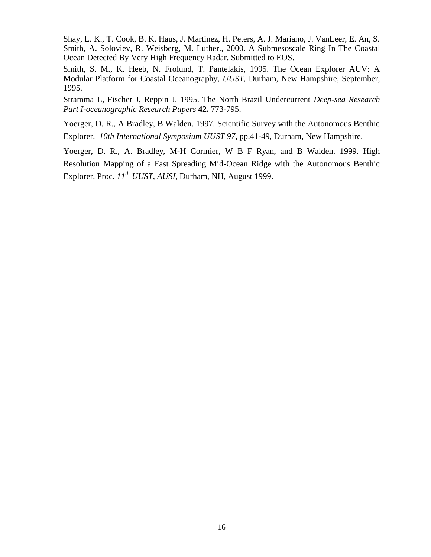Shay, L. K., T. Cook, B. K. Haus, J. Martinez, H. Peters, A. J. Mariano, J. VanLeer, E. An, S. Smith, A. Soloviev, R. Weisberg, M. Luther., 2000. A Submesoscale Ring In The Coastal Ocean Detected By Very High Frequency Radar. Submitted to EOS.

Smith, S. M., K. Heeb, N. Frolund, T. Pantelakis, 1995. The Ocean Explorer AUV: A Modular Platform for Coastal Oceanography, *UUST*, Durham, New Hampshire, September, 1995.

Stramma L, Fischer J, Reppin J. 1995. The North Brazil Undercurrent *Deep-sea Research Part I-oceanographic Research Papers* **42.** 773-795.

Yoerger, D. R., A Bradley, B Walden. 1997. Scientific Survey with the Autonomous Benthic Explorer. *10th International Symposium UUST 97*, pp.41-49, Durham, New Hampshire.

Yoerger, D. R., A. Bradley, M-H Cormier, W B F Ryan, and B Walden. 1999. High Resolution Mapping of a Fast Spreading Mid-Ocean Ridge with the Autonomous Benthic Explorer. Proc.  $II^{th}$  *UUST, AUSI*, Durham, NH, August 1999.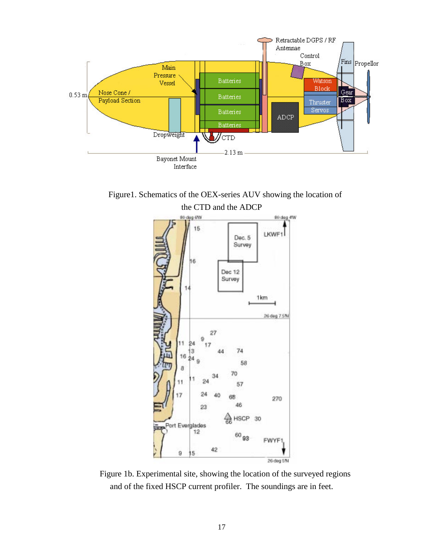

Figure1. Schematics of the OEX-series AUV showing the location of the CTD and the ADCP



Figure 1b. Experimental site, showing the location of the surveyed regions and of the fixed HSCP current profiler. The soundings are in feet.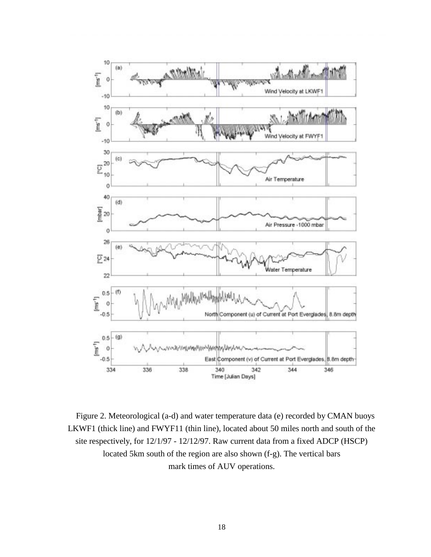

Figure 2. Meteorological (a-d) and water temperature data (e) recorded by CMAN buoys LKWF1 (thick line) and FWYF11 (thin line), located about 50 miles north and south of the site respectively, for 12/1/97 - 12/12/97. Raw current data from a fixed ADCP (HSCP) located 5km south of the region are also shown (f-g). The vertical bars mark times of AUV operations.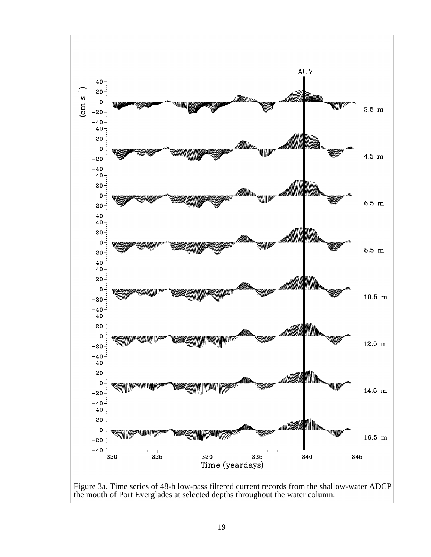

Figure 3a. Time series of 48-h low-pass filtered current records from the shallow-water ADCP the mouth of Port Everglades at selected depths throughout the water column.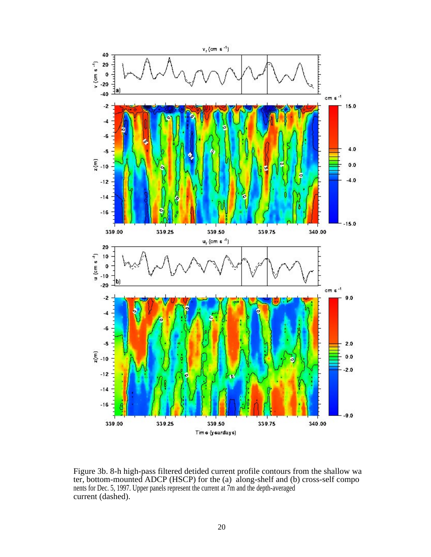

Figure 3b. 8-h high-pass filtered detided current profile contours from the shallow wa ter, bottom-mounted ADCP (HSCP) for the (a) along-shelf and (b) cross-self compo nents for Dec. 5, 1997. Upper panels represent the current at 7m and the depth-averaged current (dashed).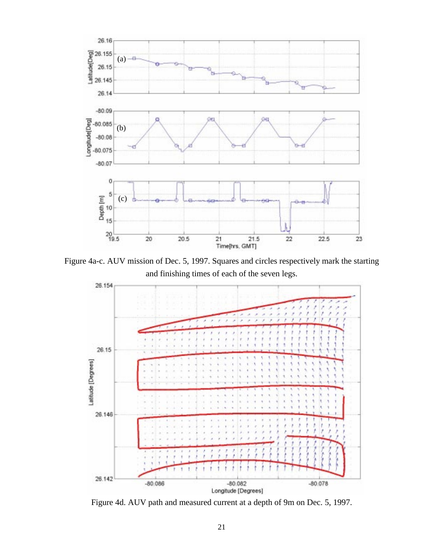

Figure 4a-c. AUV mission of Dec. 5, 1997. Squares and circles respectively mark the starting and finishing times of each of the seven legs.



Figure 4d. AUV path and measured current at a depth of 9m on Dec. 5, 1997.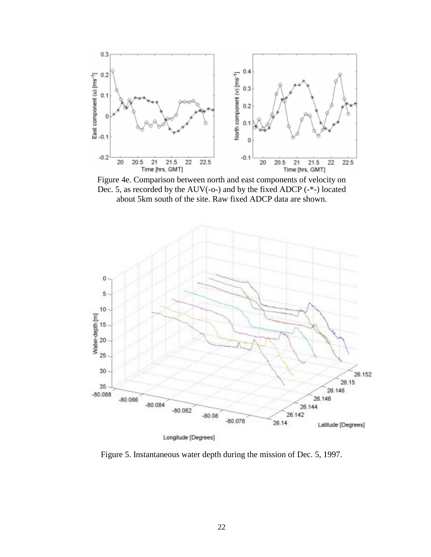

Figure 4e. Comparison between north and east components of velocity on Dec. 5, as recorded by the AUV(-o-) and by the fixed ADCP (-\*-) located about 5km south of the site. Raw fixed ADCP data are shown.



Figure 5. Instantaneous water depth during the mission of Dec. 5, 1997.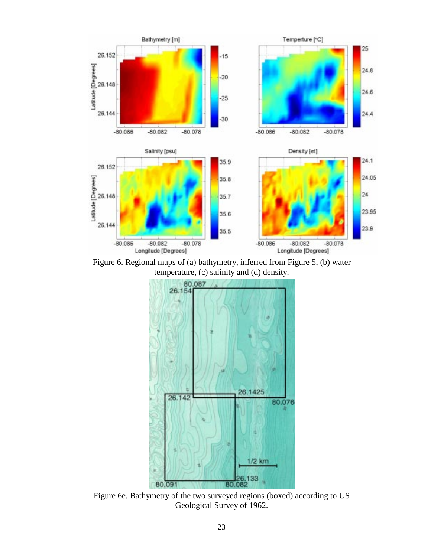

Figure 6. Regional maps of (a) bathymetry, inferred from Figure 5, (b) water temperature, (c) salinity and (d) density.



Figure 6e. Bathymetry of the two surveyed regions (boxed) according to US Geological Survey of 1962.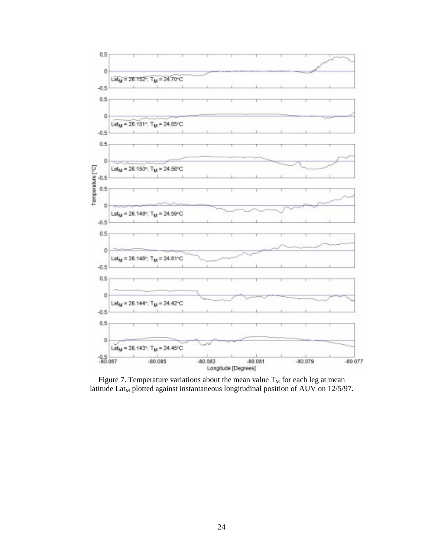

Figure 7. Temperature variations about the mean value  $T_M$  for each leg at mean latitude  $Lat<sub>M</sub>$  plotted against instantaneous longitudinal position of AUV on 12/5/97.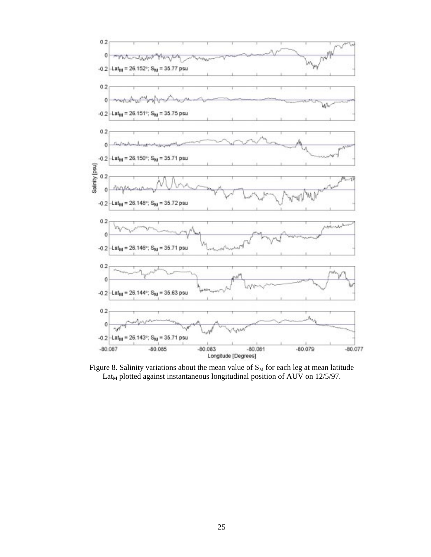

Figure 8. Salinity variations about the mean value of  $S_M$  for each leg at mean latitude Lat<sub>M</sub> plotted against instantaneous longitudinal position of AUV on 12/5/97.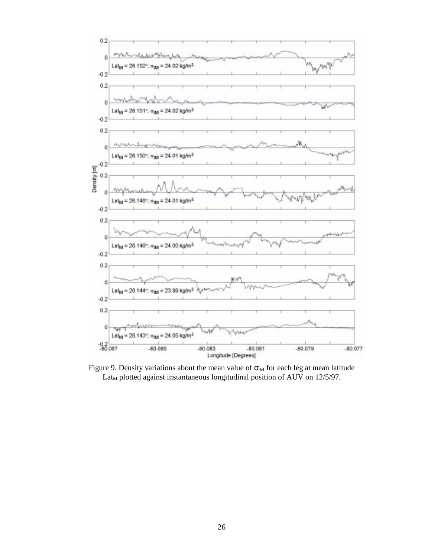

Figure 9. Density variations about the mean value of  $\sigma_{tM}$  for each leg at mean latitude  $Lat<sub>M</sub>$  plotted against instantaneous longitudinal position of AUV on 12/5/97.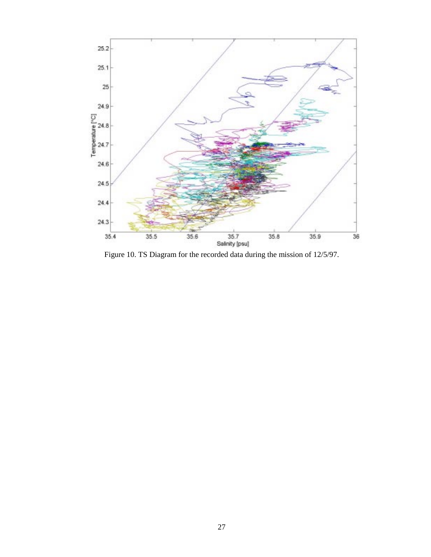

Figure 10. TS Diagram for the recorded data during the mission of 12/5/97.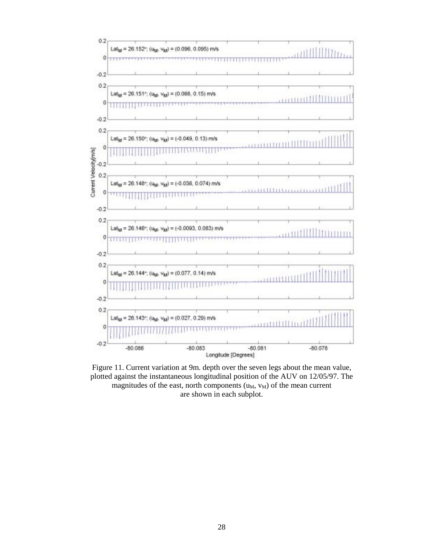

Figure 11. Current variation at 9m. depth over the seven legs about the mean value, plotted against the instantaneous longitudinal position of the AUV on 12/05/97. The magnitudes of the east, north components  $(u_M, v_M)$  of the mean current are shown in each subplot.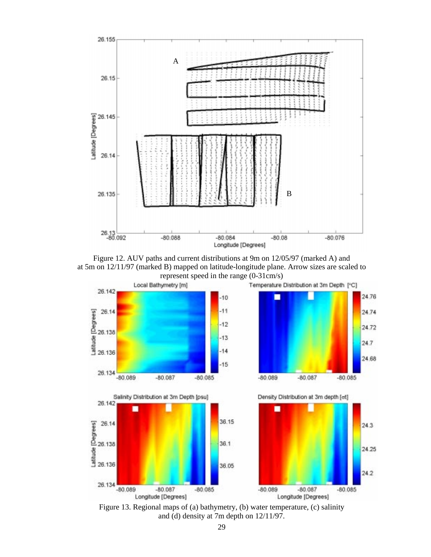

Figure 12. AUV paths and current distributions at 9m on 12/05/97 (marked A) and at 5m on 12/11/97 (marked B) mapped on latitude-longitude plane. Arrow sizes are scaled to



Figure 13. Regional maps of (a) bathymetry, (b) water temperature, (c) salinity and (d) density at 7m depth on 12/11/97.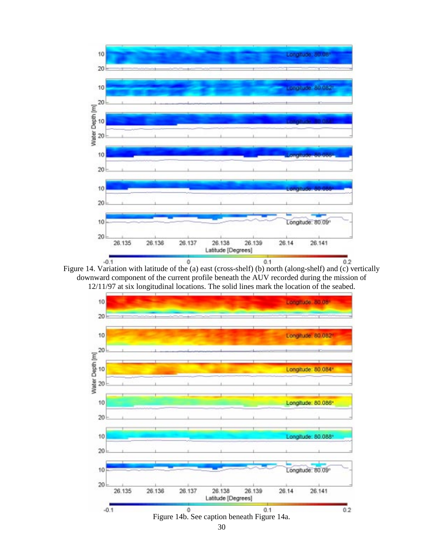

Figure 14. Variation with latitude of the (a) east (cross-shelf) (b) north (along-shelf) and (c) vertically downward component of the current profile beneath the AUV recorded during the mission of 12/11/97 at six longitudinal locations. The solid lines mark the location of the seabed.

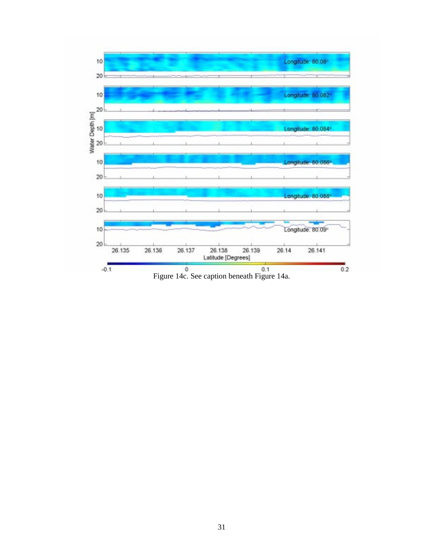